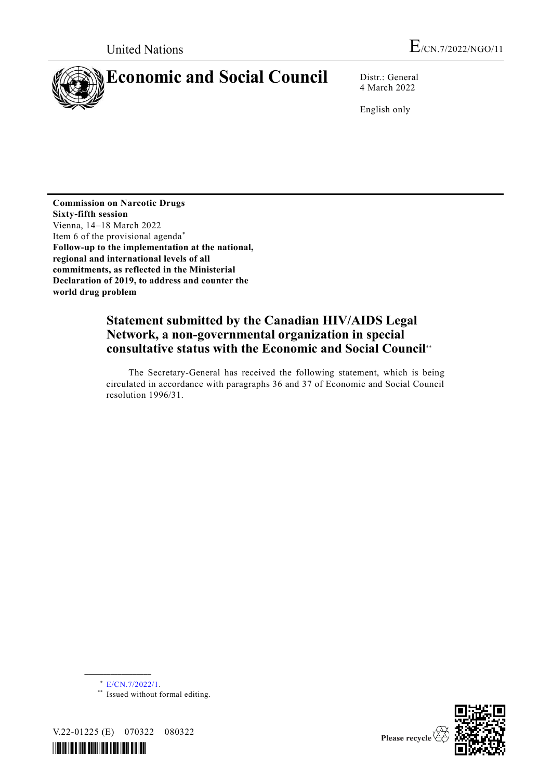

4 March 2022

English only

**Commission on Narcotic Drugs Sixty-fifth session** Vienna, 14–18 March 2022 Item 6 of the provisional agenda\* **Follow-up to the implementation at the national, regional and international levels of all commitments, as reflected in the Ministerial Declaration of 2019, to address and counter the world drug problem**

# **Statement submitted by the Canadian HIV/AIDS Legal Network, a non-governmental organization in special consultative status with the Economic and Social Council**\*\*

The Secretary-General has received the following statement, which is being circulated in accordance with paragraphs 36 and 37 of Economic and Social Council resolution 1996/31.

\* [E/CN.7/2022/1.](http://undocs.org/E/CN.7/2022/1)

**\_\_\_\_\_\_\_\_\_\_\_\_\_\_\_\_\_\_**

\*\* Issued without formal editing.



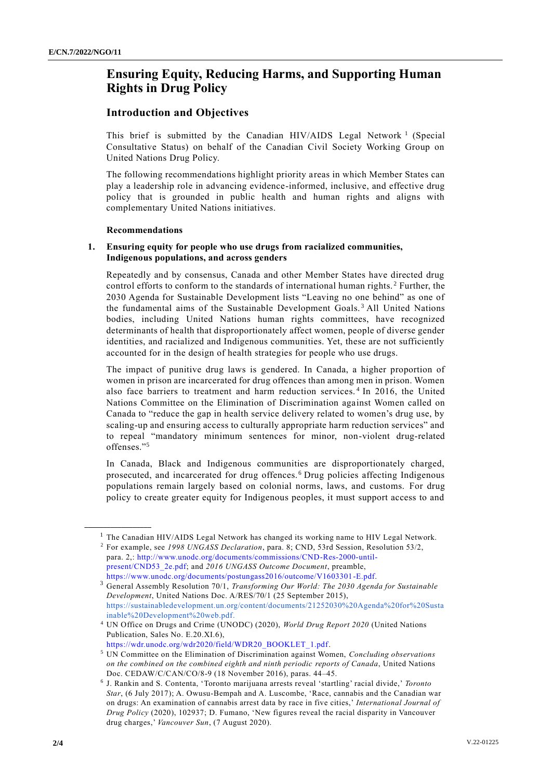## **Ensuring Equity, Reducing Harms, and Supporting Human Rights in Drug Policy**

### **Introduction and Objectives**

This brief is submitted by the Canadian HIV/AIDS Legal Network<sup>1</sup> (Special Consultative Status) on behalf of the Canadian Civil Society Working Group on United Nations Drug Policy.

The following recommendations highlight priority areas in which Member States can play a leadership role in advancing evidence-informed, inclusive, and effective drug policy that is grounded in public health and human rights and aligns with complementary United Nations initiatives.

#### **Recommendations**

**\_\_\_\_\_\_\_\_\_\_\_\_\_\_\_\_\_\_**

#### **1. Ensuring equity for people who use drugs from racialized communities, Indigenous populations, and across genders**

Repeatedly and by consensus, Canada and other Member States have directed drug control efforts to conform to the standards of international human rights.<sup>2</sup> Further, the 2030 Agenda for Sustainable Development lists "Leaving no one behind" as one of the fundamental aims of the Sustainable Development Goals. <sup>3</sup> All United Nations bodies, including United Nations human rights committees, have recognized determinants of health that disproportionately affect women, people of diverse gender identities, and racialized and Indigenous communities. Yet, these are not sufficiently accounted for in the design of health strategies for people who use drugs.

The impact of punitive drug laws is gendered. In Canada, a higher proportion of women in prison are incarcerated for drug offences than among men in prison. Women also face barriers to treatment and harm reduction services. <sup>4</sup> In 2016, the United Nations Committee on the Elimination of Discrimination against Women called on Canada to "reduce the gap in health service delivery related to women's drug use, by scaling-up and ensuring access to culturally appropriate harm reduction services" and to repeal "mandatory minimum sentences for minor, non-violent drug-related offenses."<sup>5</sup>

In Canada, Black and Indigenous communities are disproportionately charged, prosecuted, and incarcerated for drug offences. <sup>6</sup> Drug policies affecting Indigenous populations remain largely based on colonial norms, laws, and customs. For drug policy to create greater equity for Indigenous peoples, it must support access to and

<sup>&</sup>lt;sup>1</sup> The Canadian HIV/AIDS Legal Network has changed its working name to HIV Legal Network.

<sup>2</sup> For example, see *1998 UNGASS Declaration*, para. 8; CND, 53rd Session, Resolution 53/2, para. 2,: [http://www.unodc.org/documents/commissions/CND-Res-2000-until](http://www.unodc.org/documents/commissions/CND-Res-2000-until-present/CND53_2e.pdf)[present/CND53\\_2e.pdf;](http://www.unodc.org/documents/commissions/CND-Res-2000-until-present/CND53_2e.pdf) and *2016 UNGASS Outcome Document*, preamble, [https://www.unodc.org/documents/postungass2016/outcome/V1603301-E.pdf.](https://www.unodc.org/documents/postungass2016/outcome/V1603301-E.pdf)

<sup>3</sup> General Assembly Resolution 70/1, *Transforming Our World: The 2030 Agenda for Sustainable Development*, United Nations Doc. A/RES/70/1 (25 September 2015)[,](https://sustainabledevelopment.un.org/content/documents/21252030%20Agenda%20for%20Sustainable%20Development%20web.pdf) [https://sustainabledevelopment.un.org/content/documents/21252030%20Agenda%20for%20Susta](https://sustainabledevelopment.un.org/content/documents/21252030%20Agenda%20for%20Sustainable%20Development%20web.pdf) [inable%20Development%20web.pdf.](https://sustainabledevelopment.un.org/content/documents/21252030%20Agenda%20for%20Sustainable%20Development%20web.pdf)

<sup>4</sup> UN Office on Drugs and Crime (UNODC) (2020), *World Drug Report 2020* (United Nations Publication, Sales No. E.20.XI.6)[,](https://wdr.unodc.org/wdr2020/field/WDR20_BOOKLET_1.pdf)

[https://wdr.unodc.org/wdr2020/field/WDR20\\_BOOKLET\\_1.pdf.](https://wdr.unodc.org/wdr2020/field/WDR20_BOOKLET_1.pdf)

<sup>5</sup> UN Committee on the Elimination of Discrimination against Women, *Concluding observations on the combined on the combined eighth and ninth periodic reports of Canada*, United Nations Doc. CEDAW/C/CAN/CO/8-9 (18 November 2016), paras. 44–45.

<sup>6</sup> J. Rankin and S. Contenta, 'Toronto marijuana arrests reveal 'startling' racial divide,' *Toronto Star*, (6 July 2017); A. Owusu-Bempah and A. Luscombe, 'Race, cannabis and the Canadian war on drugs: An examination of cannabis arrest data by race in five cities,' *International Journal of Drug Policy* (2020), 102937; D. Fumano, 'New figures reveal the racial disparity in Vancouver drug charges,' *Vancouver Sun*, (7 August 2020).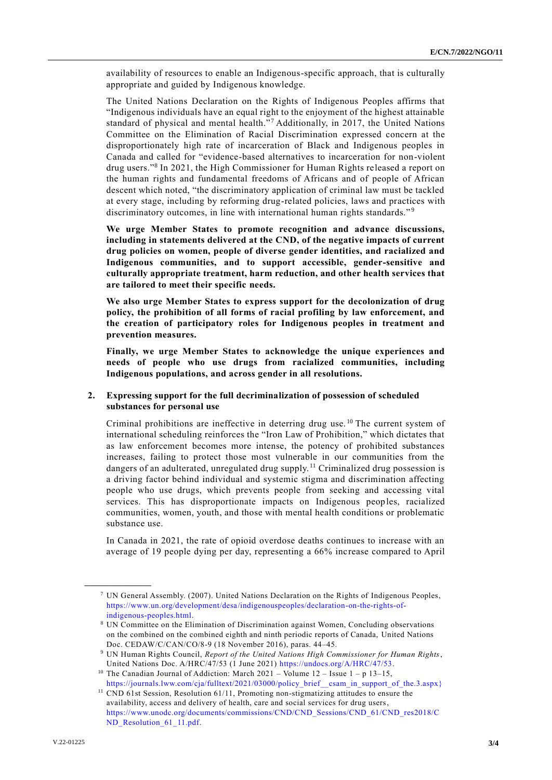availability of resources to enable an Indigenous-specific approach, that is culturally appropriate and guided by Indigenous knowledge.

The United Nations Declaration on the Rights of Indigenous Peoples affirms that "Indigenous individuals have an equal right to the enjoyment of the highest attainable standard of physical and mental health."<sup>7</sup> Additionally, in 2017, the United Nations Committee on the Elimination of Racial Discrimination expressed concern at the disproportionately high rate of incarceration of Black and Indigenous peoples in Canada and called for "evidence-based alternatives to incarceration for non-violent drug users."<sup>8</sup> In 2021, the High Commissioner for Human Rights released a report on the human rights and fundamental freedoms of Africans and of people of African descent which noted, "the discriminatory application of criminal law must be tackled at every stage, including by reforming drug-related policies, laws and practices with discriminatory outcomes, in line with international human rights standards."<sup>9</sup>

**We urge Member States to promote recognition and advance discussions, including in statements delivered at the CND, of the negative impacts of current drug policies on women, people of diverse gender identities, and racialized and Indigenous communities, and to support accessible, gender-sensitive and culturally appropriate treatment, harm reduction, and other health services that are tailored to meet their specific needs.**

**We also urge Member States to express support for the decolonization of drug policy, the prohibition of all forms of racial profiling by law enforcement, and the creation of participatory roles for Indigenous peoples in treatment and prevention measures.**

**Finally, we urge Member States to acknowledge the unique experiences and needs of people who use drugs from racialized communities, including Indigenous populations, and across gender in all resolutions.**

#### **2. Expressing support for the full decriminalization of possession of scheduled substances for personal use**

Criminal prohibitions are ineffective in deterring drug use. <sup>10</sup> The current system of international scheduling reinforces the "Iron Law of Prohibition," which dictates that as law enforcement becomes more intense, the potency of prohibited substances increases, failing to protect those most vulnerable in our communities from the dangers of an adulterated, unregulated drug supply.<sup>11</sup> Criminalized drug possession is a driving factor behind individual and systemic stigma and discrimination affecting people who use drugs, which prevents people from seeking and accessing vital services. This has disproportionate impacts on Indigenous peoples, racialized communities, women, youth, and those with mental health conditions or problematic substance use.

In Canada in 2021, the rate of opioid overdose deaths continues to increase with an average of 19 people dying per day, representing a 66% increase compared to April

**\_\_\_\_\_\_\_\_\_\_\_\_\_\_\_\_\_\_**

<sup>7</sup> UN General Assembly. (2007). United Nations Declaration on the Rights of Indigenous Peoples, [https://www.un.org/development/desa/indigenouspeoples/declaration-on-the-rights-of](https://www.un.org/development/desa/indigenouspeoples/declaration-on-the-rights-of-indigenous-peoples.html)[indigenous-peoples.html.](https://www.un.org/development/desa/indigenouspeoples/declaration-on-the-rights-of-indigenous-peoples.html)

<sup>8</sup> UN Committee on the Elimination of Discrimination against Women, Concluding observations on the combined on the combined eighth and ninth periodic reports of Canada, United Nations Doc. CEDAW/C/CAN/CO/8-9 (18 November 2016), paras. 44–45.

<sup>9</sup> UN Human Rights Council, *Report of the United Nations High Commissioner for Human Rights*, United Nations Doc. A/HRC/47/53 (1 June 2021) [https://undocs.org/A/HRC/47/53.](https://undocs.org/A/HRC/47/53)

<sup>&</sup>lt;sup>10</sup> The Canadian Journal of Addiction: March 2021 – Volume  $12$  – Issue  $1 - p$  13–15[,](https://journals.lww.com/cja/fulltext/2021/03000/policy_brief__csam_in_support_of_the.3.aspx%7d) [https://journals.lww.com/cja/fulltext/2021/03000/policy\\_brief\\_\\_csam\\_in\\_support\\_of\\_the.3.aspx}](https://journals.lww.com/cja/fulltext/2021/03000/policy_brief__csam_in_support_of_the.3.aspx%7d)

 $11$  CND 61st Session, Resolution 61/11, Promoting non-stigmatizing attitudes to ensure the availability, access and delivery of health, care and social services for drug users, [https://www.unodc.org/documents/commissions/CND/CND\\_Sessions/CND\\_61/CND\\_res2018/C](https://www.unodc.org/documents/commissions/CND/CND_Sessions/CND_61/CND_res2018/CND_Resolution_61_11.pdf) [ND\\_Resolution\\_61\\_11.pdf.](https://www.unodc.org/documents/commissions/CND/CND_Sessions/CND_61/CND_res2018/CND_Resolution_61_11.pdf)